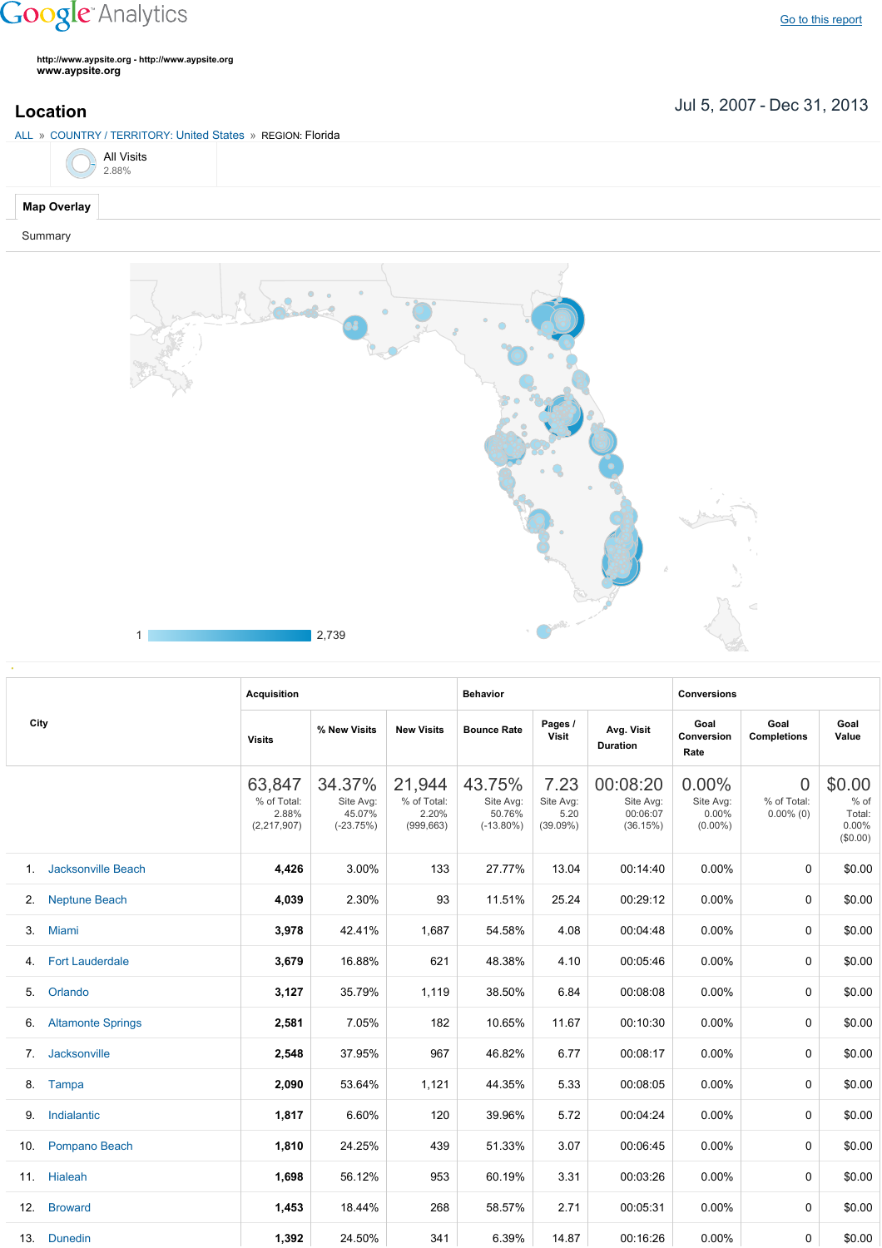## **Google** Analytics

**http://www.aypsite.org http://www.aypsite.org www.aypsite.org**

Jul 5, 2007 Dec 31, 2013 **Location**





|      |                           | <b>Acquisition</b>                              |                                              |                                              | <b>Behavior</b>                               |                                                                                                                                                                                                                                                                                                                                                                                                                                                                                                                                                                                                                                                                                                                                                                                         | <b>Conversions</b> |  |                                                 |  |
|------|---------------------------|-------------------------------------------------|----------------------------------------------|----------------------------------------------|-----------------------------------------------|-----------------------------------------------------------------------------------------------------------------------------------------------------------------------------------------------------------------------------------------------------------------------------------------------------------------------------------------------------------------------------------------------------------------------------------------------------------------------------------------------------------------------------------------------------------------------------------------------------------------------------------------------------------------------------------------------------------------------------------------------------------------------------------------|--------------------|--|-------------------------------------------------|--|
| City |                           | <b>Visits</b>                                   | % New Visits                                 | <b>New Visits</b>                            | <b>Bounce Rate</b>                            | Goal<br>Pages /<br>Goal<br>Goal<br>Avg. Visit<br>Visit<br>Conversion<br><b>Completions</b><br>Value<br><b>Duration</b><br>Rate<br>7.23<br>00:08:20<br>$0.00\%$<br>0<br>Site Avg:<br>Site Avg:<br>% of Total:<br>Site Avg:<br>00:06:07<br>5.20<br>0.00%<br>$0.00\%$ (0)<br>(39.09%)<br>(36.15%)<br>$(0.00\%)$<br>00:14:40<br>0.00%<br>13.04<br>0<br>25.24<br>00:29:12<br>0.00%<br>0<br>4.08<br>00:04:48<br>0.00%<br>$\Omega$<br>00:05:46<br>0.00%<br>4.10<br>0<br>6.84<br>00:08:08<br>0.00%<br>0<br>11.67<br>00:10:30<br>0.00%<br>0<br>6.77<br>00:08:17<br>0.00%<br>0<br>5.33<br>00:08:05<br>0.00%<br>0<br>5.72<br>00:04:24<br>0.00%<br>0<br>3.07<br>00:06:45<br>0.00%<br>0<br>3.31<br>00:03:26<br>$0.00\%$<br>0<br>2.71<br>00:05:31<br>$0.00\%$<br>0<br>14.87<br>00:16:26<br>0.00%<br>0 |                    |  |                                                 |  |
|      |                           | 63,847<br>% of Total:<br>2.88%<br>(2, 217, 907) | 34.37%<br>Site Avg:<br>45.07%<br>$(-23.75%)$ | 21,944<br>% of Total:<br>2.20%<br>(999, 663) | 43.75%<br>Site Avg:<br>50.76%<br>$(-13.80\%)$ |                                                                                                                                                                                                                                                                                                                                                                                                                                                                                                                                                                                                                                                                                                                                                                                         |                    |  | \$0.00<br>$%$ of<br>Total:<br>0.00%<br>(\$0.00) |  |
| 1.   | <b>Jacksonville Beach</b> | 4,426                                           | 3.00%                                        | 133                                          | 27.77%                                        |                                                                                                                                                                                                                                                                                                                                                                                                                                                                                                                                                                                                                                                                                                                                                                                         |                    |  | \$0.00                                          |  |
| 2.   | <b>Neptune Beach</b>      | 4,039                                           | 2.30%                                        | 93                                           | 11.51%                                        |                                                                                                                                                                                                                                                                                                                                                                                                                                                                                                                                                                                                                                                                                                                                                                                         |                    |  | \$0.00                                          |  |
| 3.   | Miami                     | 3,978                                           | 42.41%                                       | 1,687                                        | 54.58%                                        |                                                                                                                                                                                                                                                                                                                                                                                                                                                                                                                                                                                                                                                                                                                                                                                         |                    |  | \$0.00                                          |  |
| 4.   | <b>Fort Lauderdale</b>    | 3,679                                           | 16.88%                                       | 621                                          | 48.38%                                        |                                                                                                                                                                                                                                                                                                                                                                                                                                                                                                                                                                                                                                                                                                                                                                                         |                    |  | \$0.00                                          |  |
| 5.   | Orlando                   | 3,127                                           | 35.79%                                       | 1,119                                        | 38.50%                                        |                                                                                                                                                                                                                                                                                                                                                                                                                                                                                                                                                                                                                                                                                                                                                                                         |                    |  | \$0.00                                          |  |
| 6.   | <b>Altamonte Springs</b>  | 2,581                                           | 7.05%                                        | 182                                          | 10.65%                                        |                                                                                                                                                                                                                                                                                                                                                                                                                                                                                                                                                                                                                                                                                                                                                                                         |                    |  | \$0.00                                          |  |
| 7.   | Jacksonville              | 2,548                                           | 37.95%                                       | 967                                          | 46.82%                                        |                                                                                                                                                                                                                                                                                                                                                                                                                                                                                                                                                                                                                                                                                                                                                                                         |                    |  | \$0.00                                          |  |
| 8.   | Tampa                     | 2,090                                           | 53.64%                                       | 1,121                                        | 44.35%                                        |                                                                                                                                                                                                                                                                                                                                                                                                                                                                                                                                                                                                                                                                                                                                                                                         |                    |  | \$0.00                                          |  |
| 9.   | Indialantic               | 1,817                                           | 6.60%                                        | 120                                          | 39.96%                                        |                                                                                                                                                                                                                                                                                                                                                                                                                                                                                                                                                                                                                                                                                                                                                                                         |                    |  | \$0.00                                          |  |
| 10.  | Pompano Beach             | 1,810                                           | 24.25%                                       | 439                                          | 51.33%                                        |                                                                                                                                                                                                                                                                                                                                                                                                                                                                                                                                                                                                                                                                                                                                                                                         |                    |  | \$0.00                                          |  |
|      | 11. Hialeah               | 1,698                                           | 56.12%                                       | 953                                          | 60.19%                                        |                                                                                                                                                                                                                                                                                                                                                                                                                                                                                                                                                                                                                                                                                                                                                                                         |                    |  | \$0.00                                          |  |
| 12.  | <b>Broward</b>            | 1,453                                           | 18.44%                                       | 268                                          | 58.57%                                        |                                                                                                                                                                                                                                                                                                                                                                                                                                                                                                                                                                                                                                                                                                                                                                                         |                    |  | \$0.00                                          |  |
|      | 13. Dunedin               | 1,392                                           | 24.50%                                       | 341                                          | 6.39%                                         |                                                                                                                                                                                                                                                                                                                                                                                                                                                                                                                                                                                                                                                                                                                                                                                         |                    |  | \$0.00                                          |  |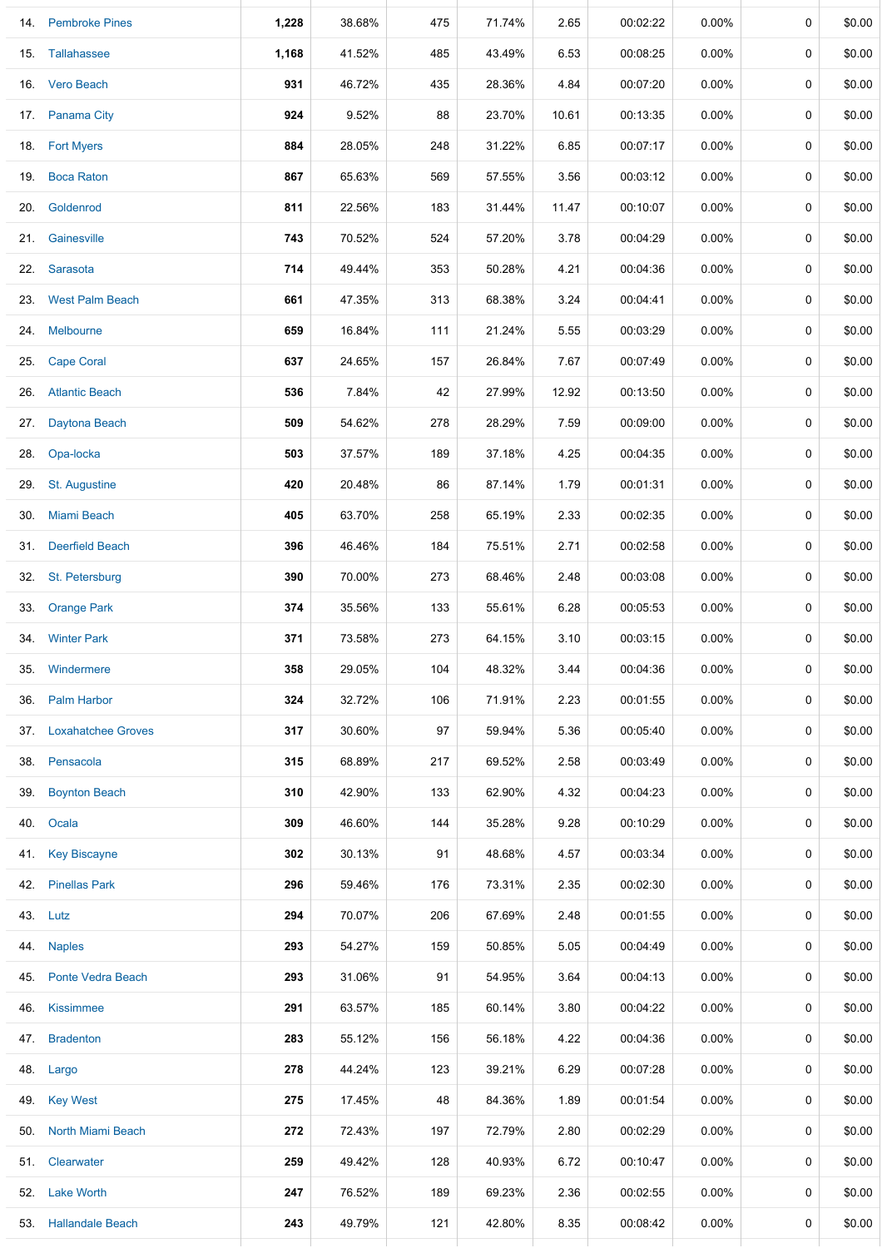|     | 14. Pembroke Pines     | 1,228 | 38.68% | 475 | 71.74% | 2.65  | 00:02:22 | 0.00%    | 0           | \$0.00 |
|-----|------------------------|-------|--------|-----|--------|-------|----------|----------|-------------|--------|
|     | 15. Tallahassee        | 1,168 | 41.52% | 485 | 43.49% | 6.53  | 00:08:25 | $0.00\%$ | 0           | \$0.00 |
|     | 16. Vero Beach         | 931   | 46.72% | 435 | 28.36% | 4.84  | 00:07:20 | $0.00\%$ | $\mathbf 0$ | \$0.00 |
|     | 17. Panama City        | 924   | 9.52%  | 88  | 23.70% | 10.61 | 00:13:35 | 0.00%    | 0           | \$0.00 |
|     | 18. Fort Myers         | 884   | 28.05% | 248 | 31.22% | 6.85  | 00:07:17 | 0.00%    | 0           | \$0.00 |
| 19. | <b>Boca Raton</b>      | 867   | 65.63% | 569 | 57.55% | 3.56  | 00:03:12 | $0.00\%$ | 0           | \$0.00 |
| 20. | Goldenrod              | 811   | 22.56% | 183 | 31.44% | 11.47 | 00:10:07 | $0.00\%$ | 0           | \$0.00 |
| 21. | Gainesville            | 743   | 70.52% | 524 | 57.20% | 3.78  | 00:04:29 | 0.00%    | 0           | \$0.00 |
|     | 22. Sarasota           | 714   | 49.44% | 353 | 50.28% | 4.21  | 00:04:36 | $0.00\%$ | 0           | \$0.00 |
|     | 23. West Palm Beach    | 661   | 47.35% | 313 | 68.38% | 3.24  | 00:04:41 | $0.00\%$ | 0           | \$0.00 |
|     | 24. Melbourne          | 659   | 16.84% | 111 | 21.24% | 5.55  | 00:03:29 | $0.00\%$ | 0           | \$0.00 |
| 25. | <b>Cape Coral</b>      | 637   | 24.65% | 157 | 26.84% | 7.67  | 00:07:49 | 0.00%    | 0           | \$0.00 |
|     | 26. Atlantic Beach     | 536   | 7.84%  | 42  | 27.99% | 12.92 | 00:13:50 | 0.00%    | 0           | \$0.00 |
| 27. | Daytona Beach          | 509   | 54.62% | 278 | 28.29% | 7.59  | 00:09:00 | 0.00%    | $\mathbf 0$ | \$0.00 |
| 28. | Opa-locka              | 503   | 37.57% | 189 | 37.18% | 4.25  | 00:04:35 | 0.00%    | 0           | \$0.00 |
|     | 29. St. Augustine      | 420   | 20.48% | 86  | 87.14% | 1.79  | 00:01:31 | 0.00%    | 0           | \$0.00 |
|     | 30. Miami Beach        | 405   | 63.70% | 258 | 65.19% | 2.33  | 00:02:35 | 0.00%    | 0           | \$0.00 |
|     | 31. Deerfield Beach    | 396   | 46.46% | 184 | 75.51% | 2.71  | 00:02:58 | 0.00%    | 0           | \$0.00 |
| 32. | St. Petersburg         | 390   | 70.00% | 273 | 68.46% | 2.48  | 00:03:08 | 0.00%    | 0           | \$0.00 |
|     | 33. Orange Park        | 374   | 35.56% | 133 | 55.61% | 6.28  | 00:05:53 | $0.00\%$ | 0           | \$0.00 |
|     | 34. Winter Park        | 371   | 73.58% | 273 | 64.15% | 3.10  | 00:03:15 | $0.00\%$ | 0           | \$0.00 |
| 35. | Windermere             | 358   | 29.05% | 104 | 48.32% | 3.44  | 00:04:36 | $0.00\%$ | 0           | \$0.00 |
|     | 36. Palm Harbor        | 324   | 32.72% | 106 | 71.91% | 2.23  | 00:01:55 | $0.00\%$ | 0           | \$0.00 |
|     | 37. Loxahatchee Groves | 317   | 30.60% | 97  | 59.94% | 5.36  | 00:05:40 | $0.00\%$ | 0           | \$0.00 |
|     | 38. Pensacola          | 315   | 68.89% | 217 | 69.52% | 2.58  | 00:03:49 | $0.00\%$ | 0           | \$0.00 |
|     | 39. Boynton Beach      | 310   | 42.90% | 133 | 62.90% | 4.32  | 00:04:23 | $0.00\%$ | 0           | \$0.00 |
|     | 40. Ocala              | 309   | 46.60% | 144 | 35.28% | 9.28  | 00:10:29 | $0.00\%$ | 0           | \$0.00 |
|     | 41. Key Biscayne       | 302   | 30.13% | 91  | 48.68% | 4.57  | 00:03:34 | $0.00\%$ | 0           | \$0.00 |
|     | 42. Pinellas Park      | 296   | 59.46% | 176 | 73.31% | 2.35  | 00:02:30 | $0.00\%$ | $\mathbf 0$ | \$0.00 |
|     | 43. Lutz               | 294   | 70.07% | 206 | 67.69% | 2.48  | 00:01:55 | $0.00\%$ | 0           | \$0.00 |
|     | 44. Naples             | 293   | 54.27% | 159 | 50.85% | 5.05  | 00:04:49 | 0.00%    | 0           | \$0.00 |
|     | 45. Ponte Vedra Beach  | 293   | 31.06% | 91  | 54.95% | 3.64  | 00:04:13 | 0.00%    | 0           | \$0.00 |
|     | 46. Kissimmee          | 291   | 63.57% | 185 | 60.14% | 3.80  | 00:04:22 | 0.00%    | 0           | \$0.00 |
|     | 47. Bradenton          | 283   | 55.12% | 156 | 56.18% | 4.22  | 00:04:36 | $0.00\%$ | 0           | \$0.00 |
|     | 48. Largo              | 278   | 44.24% | 123 | 39.21% | 6.29  | 00:07:28 | $0.00\%$ | 0           | \$0.00 |
|     | 49. Key West           | 275   | 17.45% | 48  | 84.36% | 1.89  | 00:01:54 | $0.00\%$ | 0           | \$0.00 |
|     | 50. North Miami Beach  | 272   | 72.43% | 197 | 72.79% | 2.80  | 00:02:29 | $0.00\%$ | 0           | \$0.00 |
|     | 51. Clearwater         | 259   | 49.42% | 128 | 40.93% | 6.72  | 00:10:47 | $0.00\%$ | 0           | \$0.00 |
|     | 52. Lake Worth         | 247   | 76.52% | 189 | 69.23% | 2.36  | 00:02:55 | $0.00\%$ | 0           | \$0.00 |
|     | 53. Hallandale Beach   | 243   | 49.79% | 121 | 42.80% | 8.35  | 00:08:42 | $0.00\%$ | 0           | \$0.00 |

⊥

Ц.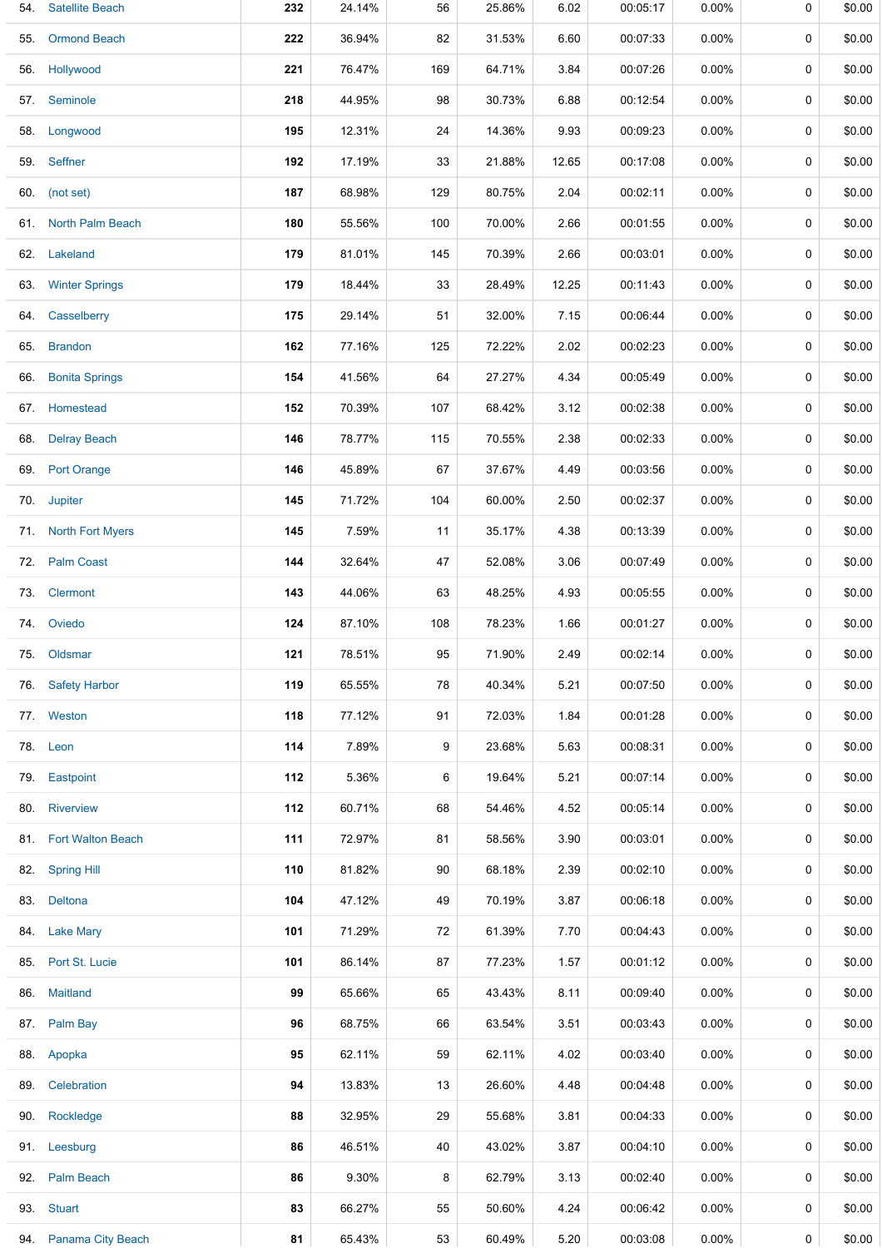| 54. | <b>Satellite Beach</b> | 232 | 24.14% | 56  | 25.86% | 6.02  | 00:05:17 | 0.00%    | 0 | \$0.00 |
|-----|------------------------|-----|--------|-----|--------|-------|----------|----------|---|--------|
| 55. | <b>Ormond Beach</b>    | 222 | 36.94% | 82  | 31.53% | 6.60  | 00:07:33 | $0.00\%$ | 0 | \$0.00 |
|     | 56. Hollywood          | 221 | 76.47% | 169 | 64.71% | 3.84  | 00:07:26 | 0.00%    | 0 | \$0.00 |
|     | 57. Seminole           | 218 | 44.95% | 98  | 30.73% | 6.88  | 00:12:54 | $0.00\%$ | 0 | \$0.00 |
|     | 58. Longwood           | 195 | 12.31% | 24  | 14.36% | 9.93  | 00:09:23 | 0.00%    | 0 | \$0.00 |
|     | 59. Seffner            | 192 | 17.19% | 33  | 21.88% | 12.65 | 00:17:08 | $0.00\%$ | 0 | \$0.00 |
|     | 60. (not set)          | 187 | 68.98% | 129 | 80.75% | 2.04  | 00:02:11 | $0.00\%$ | 0 | \$0.00 |
|     | 61. North Palm Beach   | 180 | 55.56% | 100 | 70.00% | 2.66  | 00:01:55 | $0.00\%$ | 0 | \$0.00 |
|     | 62. Lakeland           | 179 | 81.01% | 145 | 70.39% | 2.66  | 00:03:01 | $0.00\%$ | 0 | \$0.00 |
|     | 63. Winter Springs     | 179 | 18.44% | 33  | 28.49% | 12.25 | 00:11:43 | 0.00%    | 0 | \$0.00 |
|     | 64. Casselberry        | 175 | 29.14% | 51  | 32.00% | 7.15  | 00:06:44 | $0.00\%$ | 0 | \$0.00 |
|     | 65. Brandon            | 162 | 77.16% | 125 | 72.22% | 2.02  | 00:02:23 | $0.00\%$ | 0 | \$0.00 |
|     | 66. Bonita Springs     | 154 | 41.56% | 64  | 27.27% | 4.34  | 00:05:49 | $0.00\%$ | 0 | \$0.00 |
|     | 67. Homestead          | 152 | 70.39% | 107 | 68.42% | 3.12  | 00:02:38 | $0.00\%$ | 0 | \$0.00 |
|     | 68. Delray Beach       | 146 | 78.77% | 115 | 70.55% | 2.38  | 00:02:33 | $0.00\%$ | 0 | \$0.00 |
|     | 69. Port Orange        | 146 | 45.89% | 67  | 37.67% | 4.49  | 00:03:56 | 0.00%    | 0 | \$0.00 |
|     | 70. Jupiter            | 145 | 71.72% | 104 | 60.00% | 2.50  | 00:02:37 | $0.00\%$ | 0 | \$0.00 |
|     | 71. North Fort Myers   | 145 | 7.59%  | 11  | 35.17% | 4.38  | 00:13:39 | 0.00%    | 0 | \$0.00 |
|     | 72. Palm Coast         | 144 | 32.64% | 47  | 52.08% | 3.06  | 00:07:49 | $0.00\%$ | 0 | \$0.00 |
|     | 73. Clermont           | 143 | 44.06% | 63  | 48.25% | 4.93  | 00:05:55 | $0.00\%$ | 0 | \$0.00 |
|     | 74. Oviedo             | 124 | 87.10% | 108 | 78.23% | 1.66  | 00:01:27 | $0.00\%$ | 0 | \$0.00 |
|     | 75. Oldsmar            | 121 | 78.51% | 95  | 71.90% | 2.49  | 00:02:14 | $0.00\%$ | 0 | \$0.00 |
|     | 76. Safety Harbor      | 119 | 65.55% | 78  | 40.34% | 5.21  | 00:07:50 | $0.00\%$ | 0 | \$0.00 |
|     | 77. Weston             | 118 | 77.12% | 91  | 72.03% | 1.84  | 00:01:28 | $0.00\%$ | 0 | \$0.00 |
|     | 78. Leon               | 114 | 7.89%  | 9   | 23.68% | 5.63  | 00:08:31 | $0.00\%$ | 0 | \$0.00 |
|     | 79. Eastpoint          | 112 | 5.36%  | 6   | 19.64% | 5.21  | 00:07:14 | $0.00\%$ | 0 | \$0.00 |
|     | 80. Riverview          | 112 | 60.71% | 68  | 54.46% | 4.52  | 00:05:14 | $0.00\%$ | 0 | \$0.00 |
|     | 81. Fort Walton Beach  | 111 | 72.97% | 81  | 58.56% | 3.90  | 00:03:01 | $0.00\%$ | 0 | \$0.00 |
|     | 82. Spring Hill        | 110 | 81.82% | 90  | 68.18% | 2.39  | 00:02:10 | 0.00%    | 0 | \$0.00 |
|     | 83. Deltona            | 104 | 47.12% | 49  | 70.19% | 3.87  | 00:06:18 | $0.00\%$ | 0 | \$0.00 |
|     | 84. Lake Mary          | 101 | 71.29% | 72  | 61.39% | 7.70  | 00:04:43 | $0.00\%$ | 0 | \$0.00 |
|     | 85. Port St. Lucie     | 101 | 86.14% | 87  | 77.23% | 1.57  | 00:01:12 | $0.00\%$ | 0 | \$0.00 |
|     | 86. Maitland           | 99  | 65.66% | 65  | 43.43% | 8.11  | 00:09:40 | $0.00\%$ | 0 | \$0.00 |
|     | 87. Palm Bay           | 96  | 68.75% | 66  | 63.54% | 3.51  | 00:03:43 | $0.00\%$ | 0 | \$0.00 |
|     | 88. Apopka             | 95  | 62.11% | 59  | 62.11% | 4.02  | 00:03:40 | $0.00\%$ | 0 | \$0.00 |
| 89. | Celebration            | 94  | 13.83% | 13  | 26.60% | 4.48  | 00:04:48 | $0.00\%$ | 0 | \$0.00 |
|     | 90. Rockledge          | 88  | 32.95% | 29  | 55.68% | 3.81  | 00:04:33 | $0.00\%$ | 0 | \$0.00 |
|     | 91. Leesburg           | 86  | 46.51% | 40  | 43.02% | 3.87  | 00:04:10 | $0.00\%$ | 0 | \$0.00 |
|     | 92. Palm Beach         | 86  | 9.30%  | 8   | 62.79% | 3.13  | 00:02:40 | $0.00\%$ | 0 | \$0.00 |
|     | 93. Stuart             | 83  | 66.27% | 55  | 50.60% | 4.24  | 00:06:42 | $0.00\%$ | 0 | \$0.00 |
|     | 94. Panama City Beach  | 81  | 65.43% | 53  | 60.49% | 5.20  | 00:03:08 | $0.00\%$ | 0 | \$0.00 |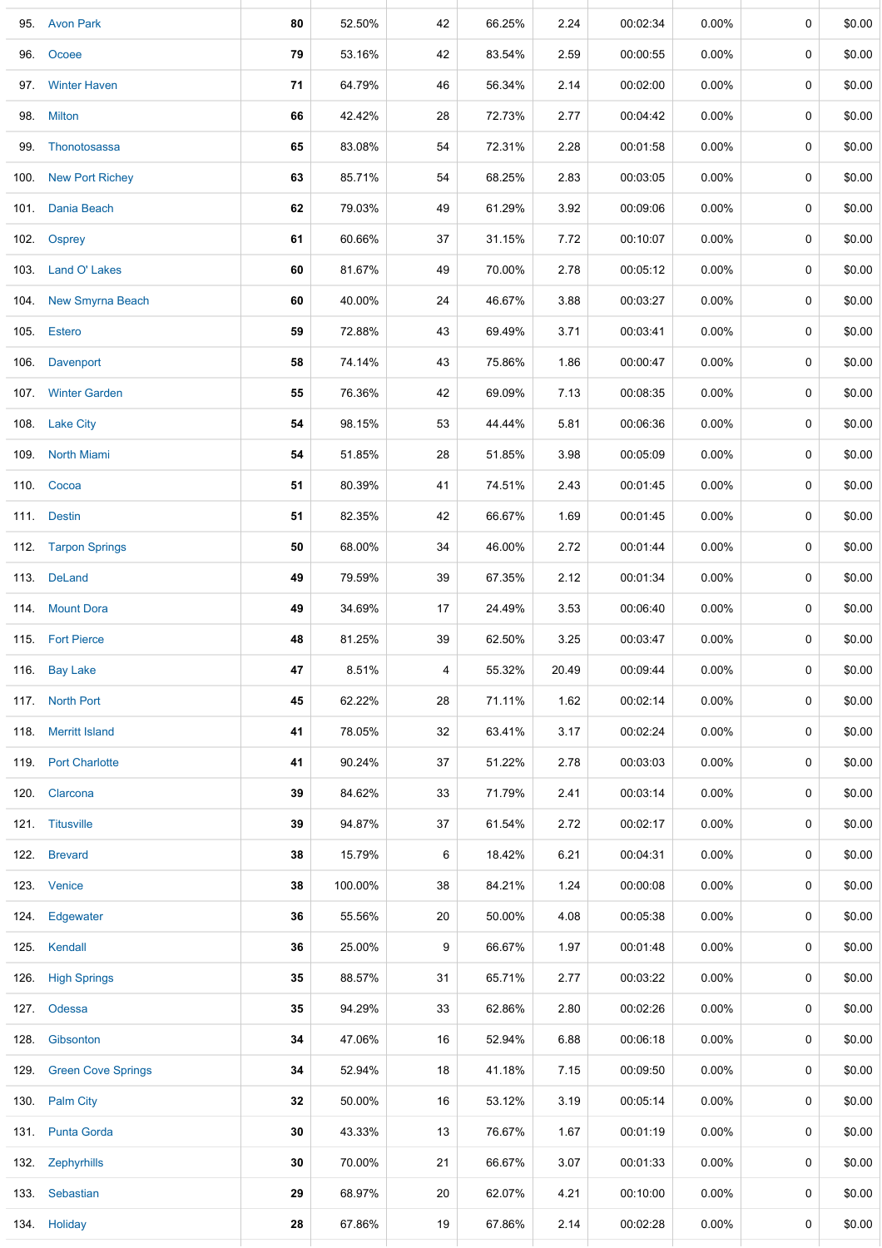| 95. Avon Park           | 80 | 52.50%  | 42 | 66.25% | 2.24  | 00:02:34 | 0.00%    | $\mathbf 0$ | \$0.00 |
|-------------------------|----|---------|----|--------|-------|----------|----------|-------------|--------|
| 96. Ocoee               | 79 | 53.16%  | 42 | 83.54% | 2.59  | 00:00:55 | $0.00\%$ | 0           | \$0.00 |
| 97. Winter Haven        | 71 | 64.79%  | 46 | 56.34% | 2.14  | 00:02:00 | $0.00\%$ | $\mathbf 0$ | \$0.00 |
| 98. Milton              | 66 | 42.42%  | 28 | 72.73% | 2.77  | 00:04:42 | $0.00\%$ | 0           | \$0.00 |
| 99. Thonotosassa        | 65 | 83.08%  | 54 | 72.31% | 2.28  | 00:01:58 | 0.00%    | 0           | \$0.00 |
| 100. New Port Richey    | 63 | 85.71%  | 54 | 68.25% | 2.83  | 00:03:05 | $0.00\%$ | 0           | \$0.00 |
| 101. Dania Beach        | 62 | 79.03%  | 49 | 61.29% | 3.92  | 00:09:06 | $0.00\%$ | 0           | \$0.00 |
| 102. Osprey             | 61 | 60.66%  | 37 | 31.15% | 7.72  | 00:10:07 | $0.00\%$ | 0           | \$0.00 |
| 103. Land O' Lakes      | 60 | 81.67%  | 49 | 70.00% | 2.78  | 00:05:12 | $0.00\%$ | 0           | \$0.00 |
| 104. New Smyrna Beach   | 60 | 40.00%  | 24 | 46.67% | 3.88  | 00:03:27 | $0.00\%$ | 0           | \$0.00 |
| 105. Estero             | 59 | 72.88%  | 43 | 69.49% | 3.71  | 00:03:41 | $0.00\%$ | 0           | \$0.00 |
| 106. Davenport          | 58 | 74.14%  | 43 | 75.86% | 1.86  | 00:00:47 | $0.00\%$ | 0           | \$0.00 |
| 107. Winter Garden      | 55 | 76.36%  | 42 | 69.09% | 7.13  | 00:08:35 | $0.00\%$ | $\mathbf 0$ | \$0.00 |
| 108. Lake City          | 54 | 98.15%  | 53 | 44.44% | 5.81  | 00:06:36 | $0.00\%$ | $\mathbf 0$ | \$0.00 |
| 109 North Miami         | 54 | 51.85%  | 28 | 51.85% | 3.98  | 00:05:09 | $0.00\%$ | 0           | \$0.00 |
| 110. Cocoa              | 51 | 80.39%  | 41 | 74.51% | 2.43  | 00:01:45 | $0.00\%$ | 0           | \$0.00 |
| 111. Destin             | 51 | 82.35%  | 42 | 66.67% | 1.69  | 00:01:45 | $0.00\%$ | 0           | \$0.00 |
| 112. Tarpon Springs     | 50 | 68.00%  | 34 | 46.00% | 2.72  | 00:01:44 | $0.00\%$ | 0           | \$0.00 |
| 113. DeLand             | 49 | 79.59%  | 39 | 67.35% | 2.12  | 00:01:34 | $0.00\%$ | 0           | \$0.00 |
| 114. Mount Dora         | 49 | 34.69%  | 17 | 24.49% | 3.53  | 00:06:40 | $0.00\%$ | 0           | \$0.00 |
| 115. Fort Pierce        | 48 | 81.25%  | 39 | 62.50% | 3.25  | 00:03:47 | $0.00\%$ | 0           | \$0.00 |
| 116. Bay Lake           | 47 | 8.51%   | 4  | 55.32% | 20.49 | 00:09:44 | $0.00\%$ | 0           | \$0.00 |
| 117. North Port         | 45 | 62.22%  | 28 | 71.11% | 1.62  | 00:02:14 | $0.00\%$ | 0           | \$0.00 |
| 118 Merritt Island      | 41 | 78.05%  | 32 | 63.41% | 3.17  | 00:02:24 | $0.00\%$ | 0           | \$0.00 |
| 119. Port Charlotte     | 41 | 90.24%  | 37 | 51.22% | 2.78  | 00:03:03 | $0.00\%$ | 0           | \$0.00 |
| 120. Clarcona           | 39 | 84.62%  | 33 | 71.79% | 2.41  | 00:03:14 | $0.00\%$ | 0           | \$0.00 |
| 121. Titusville         | 39 | 94.87%  | 37 | 61.54% | 2.72  | 00:02:17 | $0.00\%$ | 0           | \$0.00 |
| 122. Brevard            | 38 | 15.79%  | 6  | 18.42% | 6.21  | 00:04:31 | $0.00\%$ | 0           | \$0.00 |
| 123. Venice             | 38 | 100.00% | 38 | 84.21% | 1.24  | 00:00:08 | $0.00\%$ | 0           | \$0.00 |
| 124. Edgewater          | 36 | 55.56%  | 20 | 50.00% | 4.08  | 00:05:38 | $0.00\%$ | 0           | \$0.00 |
| 125. Kendall            | 36 | 25.00%  | 9  | 66.67% | 1.97  | 00:01:48 | $0.00\%$ | 0           | \$0.00 |
| 126. High Springs       | 35 | 88.57%  | 31 | 65.71% | 2.77  | 00:03:22 | $0.00\%$ | 0           | \$0.00 |
| 127. Odessa             | 35 | 94.29%  | 33 | 62.86% | 2.80  | 00:02:26 | $0.00\%$ | 0           | \$0.00 |
| 128. Gibsonton          | 34 | 47.06%  | 16 | 52.94% | 6.88  | 00:06:18 | $0.00\%$ | 0           | \$0.00 |
| 129. Green Cove Springs | 34 | 52.94%  | 18 | 41.18% | 7.15  | 00:09:50 | $0.00\%$ | 0           | \$0.00 |
| 130. Palm City          | 32 | 50.00%  | 16 | 53.12% | 3.19  | 00:05:14 | $0.00\%$ | 0           | \$0.00 |
| 131 Punta Gorda         | 30 | 43.33%  | 13 | 76.67% | 1.67  | 00:01:19 | $0.00\%$ | 0           | \$0.00 |
| 132. Zephyrhills        | 30 | 70.00%  | 21 | 66.67% | 3.07  | 00:01:33 | $0.00\%$ | 0           | \$0.00 |
| 133. Sebastian          | 29 | 68.97%  | 20 | 62.07% | 4.21  | 00:10:00 | $0.00\%$ | 0           | \$0.00 |
| 134. Holiday            | 28 | 67.86%  | 19 | 67.86% | 2.14  | 00:02:28 | $0.00\%$ | 0           | \$0.00 |
|                         |    |         |    |        |       |          |          |             |        |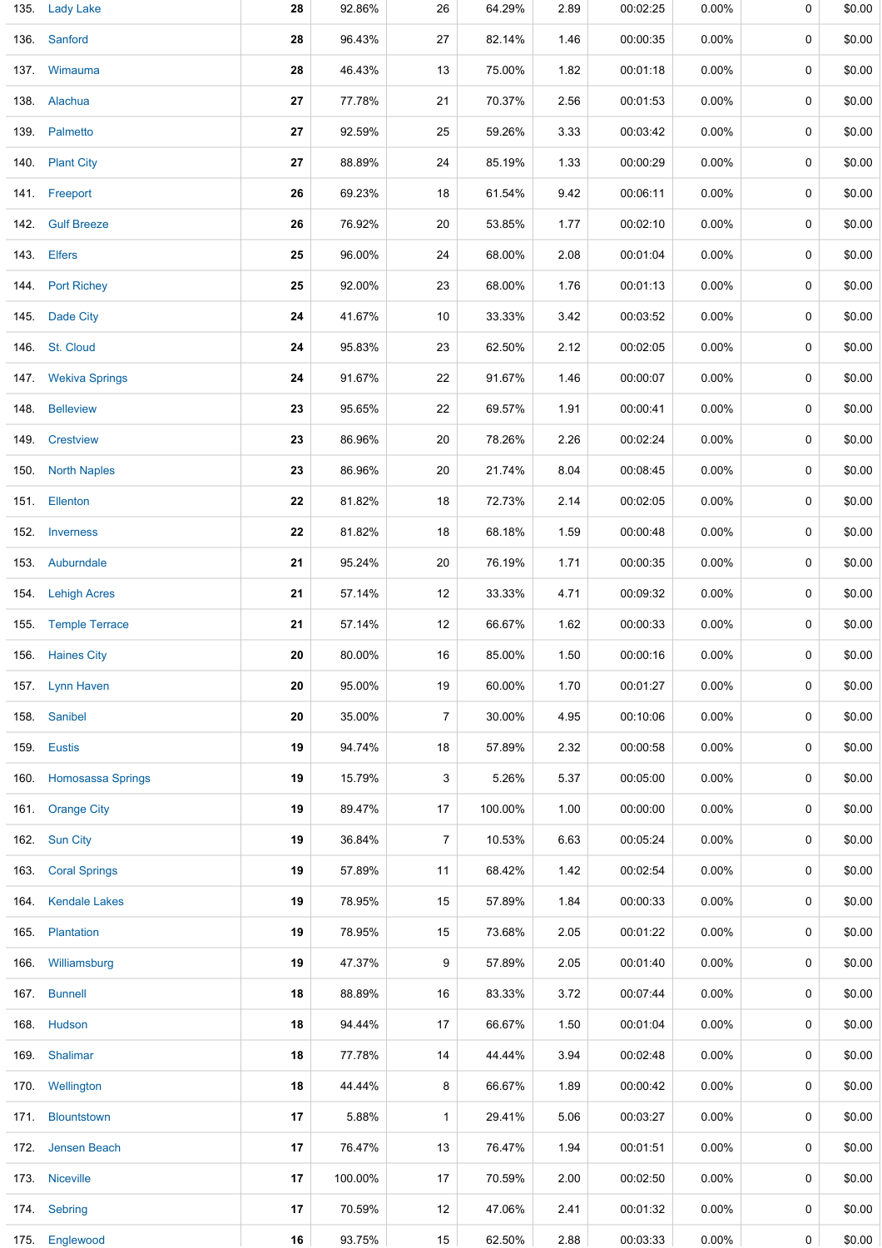| 135. Lady Lake         | 28 | 92.86%  | 26           | 64.29%  | 2.89 | 00:02:25 | 0.00%    | 0 | \$0.00 |
|------------------------|----|---------|--------------|---------|------|----------|----------|---|--------|
| 136. Sanford           | 28 | 96.43%  | 27           | 82.14%  | 1.46 | 00:00:35 | $0.00\%$ | 0 | \$0.00 |
| 137. Wimauma           | 28 | 46.43%  | 13           | 75.00%  | 1.82 | 00:01:18 | 0.00%    | 0 | \$0.00 |
| 138. Alachua           | 27 | 77.78%  | 21           | 70.37%  | 2.56 | 00:01:53 | $0.00\%$ | 0 | \$0.00 |
| 139. Palmetto          | 27 | 92.59%  | 25           | 59.26%  | 3.33 | 00:03:42 | $0.00\%$ | 0 | \$0.00 |
| 140. Plant City        | 27 | 88.89%  | 24           | 85.19%  | 1.33 | 00:00:29 | $0.00\%$ | 0 | \$0.00 |
| 141. Freeport          | 26 | 69.23%  | 18           | 61.54%  | 9.42 | 00:06:11 | $0.00\%$ | 0 | \$0.00 |
| 142. Gulf Breeze       | 26 | 76.92%  | 20           | 53.85%  | 1.77 | 00:02:10 | $0.00\%$ | 0 | \$0.00 |
| 143. Elfers            | 25 | 96.00%  | 24           | 68.00%  | 2.08 | 00:01:04 | $0.00\%$ | 0 | \$0.00 |
| 144. Port Richey       | 25 | 92.00%  | 23           | 68.00%  | 1.76 | 00:01:13 | $0.00\%$ | 0 | \$0.00 |
| 145. Dade City         | 24 | 41.67%  | 10           | 33.33%  | 3.42 | 00:03:52 | $0.00\%$ | 0 | \$0.00 |
| 146. St. Cloud         | 24 | 95.83%  | 23           | 62.50%  | 2.12 | 00:02:05 | $0.00\%$ | 0 | \$0.00 |
| 147. Wekiva Springs    | 24 | 91.67%  | 22           | 91.67%  | 1.46 | 00:00:07 | $0.00\%$ | 0 | \$0.00 |
| 148. Belleview         | 23 | 95.65%  | 22           | 69.57%  | 1.91 | 00:00:41 | $0.00\%$ | 0 | \$0.00 |
| 149. Crestview         | 23 | 86.96%  | 20           | 78.26%  | 2.26 | 00:02:24 | $0.00\%$ | 0 | \$0.00 |
| 150 North Naples       | 23 | 86.96%  | 20           | 21.74%  | 8.04 | 00:08:45 | $0.00\%$ | 0 | \$0.00 |
| 151. Ellenton          | 22 | 81.82%  | 18           | 72.73%  | 2.14 | 00:02:05 | $0.00\%$ | 0 | \$0.00 |
| 152. Inverness         | 22 | 81.82%  | 18           | 68.18%  | 1.59 | 00:00:48 | $0.00\%$ | 0 | \$0.00 |
| 153. Auburndale        | 21 | 95.24%  | 20           | 76.19%  | 1.71 | 00:00:35 | $0.00\%$ | 0 | \$0.00 |
| 154. Lehigh Acres      | 21 | 57.14%  | 12           | 33.33%  | 4.71 | 00:09:32 | $0.00\%$ | 0 | \$0.00 |
| 155. Temple Terrace    | 21 | 57.14%  | 12           | 66.67%  | 1.62 | 00:00:33 | $0.00\%$ | 0 | \$0.00 |
| 156. Haines City       | 20 | 80.00%  | 16           | 85.00%  | 1.50 | 00:00:16 | $0.00\%$ | 0 | \$0.00 |
| 157 Lynn Haven         | 20 | 95.00%  | 19           | 60.00%  | 1.70 | 00:01:27 | $0.00\%$ | 0 | \$0.00 |
| 158. Sanibel           | 20 | 35.00%  | 7            | 30.00%  | 4.95 | 00:10:06 | $0.00\%$ | 0 | \$0.00 |
| 159. Eustis            | 19 | 94.74%  | 18           | 57.89%  | 2.32 | 00:00:58 | $0.00\%$ | 0 | \$0.00 |
| 160. Homosassa Springs | 19 | 15.79%  | 3            | 5.26%   | 5.37 | 00:05:00 | $0.00\%$ | 0 | \$0.00 |
| 161. Orange City       | 19 | 89.47%  | 17           | 100.00% | 1.00 | 00:00:00 | $0.00\%$ | 0 | \$0.00 |
| 162. Sun City          | 19 | 36.84%  | 7            | 10.53%  | 6.63 | 00:05:24 | $0.00\%$ | 0 | \$0.00 |
| 163. Coral Springs     | 19 | 57.89%  | 11           | 68.42%  | 1.42 | 00:02:54 | $0.00\%$ | 0 | \$0.00 |
| 164. Kendale Lakes     | 19 | 78.95%  | 15           | 57.89%  | 1.84 | 00:00:33 | 0.00%    | 0 | \$0.00 |
| 165. Plantation        | 19 | 78.95%  | 15           | 73.68%  | 2.05 | 00:01:22 | 0.00%    | 0 | \$0.00 |
| 166 Williamsburg       | 19 | 47.37%  | 9            | 57.89%  | 2.05 | 00:01:40 | $0.00\%$ | 0 | \$0.00 |
| 167. Bunnell           | 18 | 88.89%  | 16           | 83.33%  | 3.72 | 00:07:44 | $0.00\%$ | 0 | \$0.00 |
| 168. Hudson            | 18 | 94.44%  | 17           | 66.67%  | 1.50 | 00:01:04 | $0.00\%$ | 0 | \$0.00 |
| 169. Shalimar          | 18 | 77.78%  | 14           | 44.44%  | 3.94 | 00:02:48 | $0.00\%$ | 0 | \$0.00 |
| 170 Wellington         | 18 | 44.44%  | 8            | 66.67%  | 1.89 | 00:00:42 | $0.00\%$ | 0 | \$0.00 |
| 171 Blountstown        | 17 | 5.88%   | $\mathbf{1}$ | 29.41%  | 5.06 | 00:03:27 | $0.00\%$ | 0 | \$0.00 |
| 172 Jensen Beach       | 17 | 76.47%  | 13           | 76.47%  | 1.94 | 00:01:51 | $0.00\%$ | 0 | \$0.00 |
| 173. Niceville         | 17 | 100.00% | 17           | 70.59%  | 2.00 | 00:02:50 | 0.00%    | 0 | \$0.00 |
| 174. Sebring           | 17 | 70.59%  | 12           | 47.06%  | 2.41 | 00:01:32 | $0.00\%$ | 0 | \$0.00 |
| 175. Englewood         | 16 | 93.75%  | 15           | 62.50%  | 2.88 | 00:03:33 | 0.00%    | 0 | \$0.00 |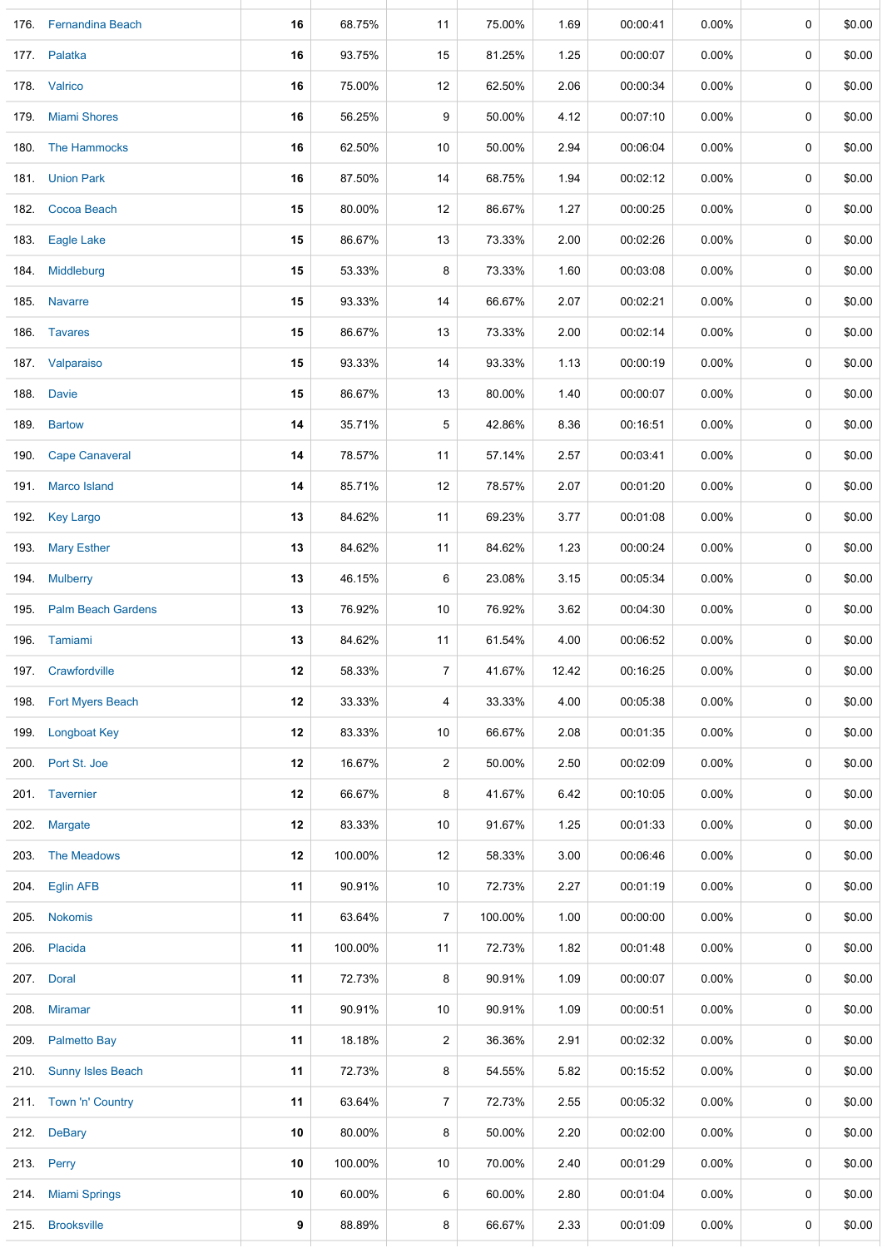|      | 176. Fernandina Beach   | 16 | 68.75%  | 11             | 75.00%  | 1.69  | 00:00:41 | 0.00%    | 0 | \$0.00 |
|------|-------------------------|----|---------|----------------|---------|-------|----------|----------|---|--------|
|      | 177. Palatka            | 16 | 93.75%  | 15             | 81.25%  | 1.25  | 00:00:07 | $0.00\%$ | 0 | \$0.00 |
|      | 178. Valrico            | 16 | 75.00%  | 12             | 62.50%  | 2.06  | 00:00:34 | $0.00\%$ | 0 | \$0.00 |
|      | 179. Miami Shores       | 16 | 56.25%  | 9              | 50.00%  | 4.12  | 00:07:10 | 0.00%    | 0 | \$0.00 |
|      | 180. The Hammocks       | 16 | 62.50%  | 10             | 50.00%  | 2.94  | 00:06:04 | 0.00%    | 0 | \$0.00 |
|      | 181 Union Park          | 16 | 87.50%  | 14             | 68.75%  | 1.94  | 00:02:12 | 0.00%    | 0 | \$0.00 |
|      | 182. Cocoa Beach        | 15 | 80.00%  | 12             | 86.67%  | 1.27  | 00:00:25 | 0.00%    | 0 | \$0.00 |
|      | 183. Eagle Lake         | 15 | 86.67%  | 13             | 73.33%  | 2.00  | 00:02:26 | 0.00%    | 0 | \$0.00 |
|      | 184. Middleburg         | 15 | 53.33%  | 8              | 73.33%  | 1.60  | 00:03:08 | 0.00%    | 0 | \$0.00 |
|      | 185. Navarre            | 15 | 93.33%  | 14             | 66.67%  | 2.07  | 00:02:21 | 0.00%    | 0 | \$0.00 |
|      | 186. Tavares            | 15 | 86.67%  | 13             | 73.33%  | 2.00  | 00:02:14 | $0.00\%$ | 0 | \$0.00 |
|      | 187 Valparaiso          | 15 | 93.33%  | 14             | 93.33%  | 1.13  | 00:00:19 | 0.00%    | 0 | \$0.00 |
|      | 188. Davie              | 15 | 86.67%  | 13             | 80.00%  | 1.40  | 00:00:07 | $0.00\%$ | 0 | \$0.00 |
|      | 189. Bartow             | 14 | 35.71%  | 5              | 42.86%  | 8.36  | 00:16:51 | $0.00\%$ | 0 | \$0.00 |
|      | 190. Cape Canaveral     | 14 | 78.57%  | 11             | 57.14%  | 2.57  | 00:03:41 | $0.00\%$ | 0 | \$0.00 |
|      | 191 Marco Island        | 14 | 85.71%  | 12             | 78.57%  | 2.07  | 00:01:20 | $0.00\%$ | 0 | \$0.00 |
|      | 192. Key Largo          | 13 | 84.62%  | 11             | 69.23%  | 3.77  | 00:01:08 | $0.00\%$ | 0 | \$0.00 |
|      | 193. Mary Esther        | 13 | 84.62%  | 11             | 84.62%  | 1.23  | 00:00:24 | 0.00%    | 0 | \$0.00 |
|      | 194. Mulberry           | 13 | 46.15%  | 6              | 23.08%  | 3.15  | 00:05:34 | $0.00\%$ | 0 | \$0.00 |
|      | 195. Palm Beach Gardens | 13 | 76.92%  | 10             | 76.92%  | 3.62  | 00:04:30 | 0.00%    | 0 | \$0.00 |
|      | 196. Tamiami            | 13 | 84.62%  | 11             | 61.54%  | 4.00  | 00:06:52 | 0.00%    | 0 | \$0.00 |
|      | 197. Crawfordville      | 12 | 58.33%  | $\overline{7}$ | 41.67%  | 12.42 | 00:16:25 | $0.00\%$ | 0 | \$0.00 |
|      | 198. Fort Myers Beach   | 12 | 33.33%  | 4              | 33.33%  | 4.00  | 00:05:38 | $0.00\%$ | 0 | \$0.00 |
|      | 199. Longboat Key       | 12 | 83.33%  | 10             | 66.67%  | 2.08  | 00:01:35 | $0.00\%$ | 0 | \$0.00 |
|      | 200. Port St. Joe       | 12 | 16.67%  | $\overline{c}$ | 50.00%  | 2.50  | 00:02:09 | $0.00\%$ | 0 | \$0.00 |
|      | 201. Tavernier          | 12 | 66.67%  | 8              | 41.67%  | 6.42  | 00:10:05 | $0.00\%$ | 0 | \$0.00 |
| 202. | <b>Margate</b>          | 12 | 83.33%  | 10             | 91.67%  | 1.25  | 00:01:33 | $0.00\%$ | 0 | \$0.00 |
|      | 203. The Meadows        | 12 | 100.00% | 12             | 58.33%  | 3.00  | 00:06:46 | $0.00\%$ | 0 | \$0.00 |
|      | 204. Eglin AFB          | 11 | 90.91%  | 10             | 72.73%  | 2.27  | 00:01:19 | 0.00%    | 0 | \$0.00 |
|      | 205. Nokomis            | 11 | 63.64%  | $\overline{7}$ | 100.00% | 1.00  | 00:00:00 | $0.00\%$ | 0 | \$0.00 |
|      | 206. Placida            | 11 | 100.00% | 11             | 72.73%  | 1.82  | 00:01:48 | $0.00\%$ | 0 | \$0.00 |
|      | 207. Doral              | 11 | 72.73%  | 8              | 90.91%  | 1.09  | 00:00:07 | $0.00\%$ | 0 | \$0.00 |
| 208. | <b>Miramar</b>          | 11 | 90.91%  | 10             | 90.91%  | 1.09  | 00:00:51 | 0.00%    | 0 | \$0.00 |
|      | 209. Palmetto Bay       | 11 | 18.18%  | $\overline{c}$ | 36.36%  | 2.91  | 00:02:32 | $0.00\%$ | 0 | \$0.00 |
|      | 210. Sunny Isles Beach  | 11 | 72.73%  | 8              | 54.55%  | 5.82  | 00:15:52 | $0.00\%$ | 0 | \$0.00 |
|      | 211. Town 'n' Country   | 11 | 63.64%  | $\overline{7}$ | 72.73%  | 2.55  | 00:05:32 | $0.00\%$ | 0 | \$0.00 |
|      | 212. DeBary             | 10 | 80.00%  | 8              | 50.00%  | 2.20  | 00:02:00 | $0.00\%$ | 0 | \$0.00 |
|      | 213. Perry              | 10 | 100.00% | 10             | 70.00%  | 2.40  | 00:01:29 | $0.00\%$ | 0 | \$0.00 |
|      | 214. Miami Springs      | 10 | 60.00%  | 6              | 60.00%  | 2.80  | 00:01:04 | $0.00\%$ | 0 | \$0.00 |
|      | 215. Brooksville        | 9  | 88.89%  | 8              | 66.67%  | 2.33  | 00:01:09 | $0.00\%$ | 0 | \$0.00 |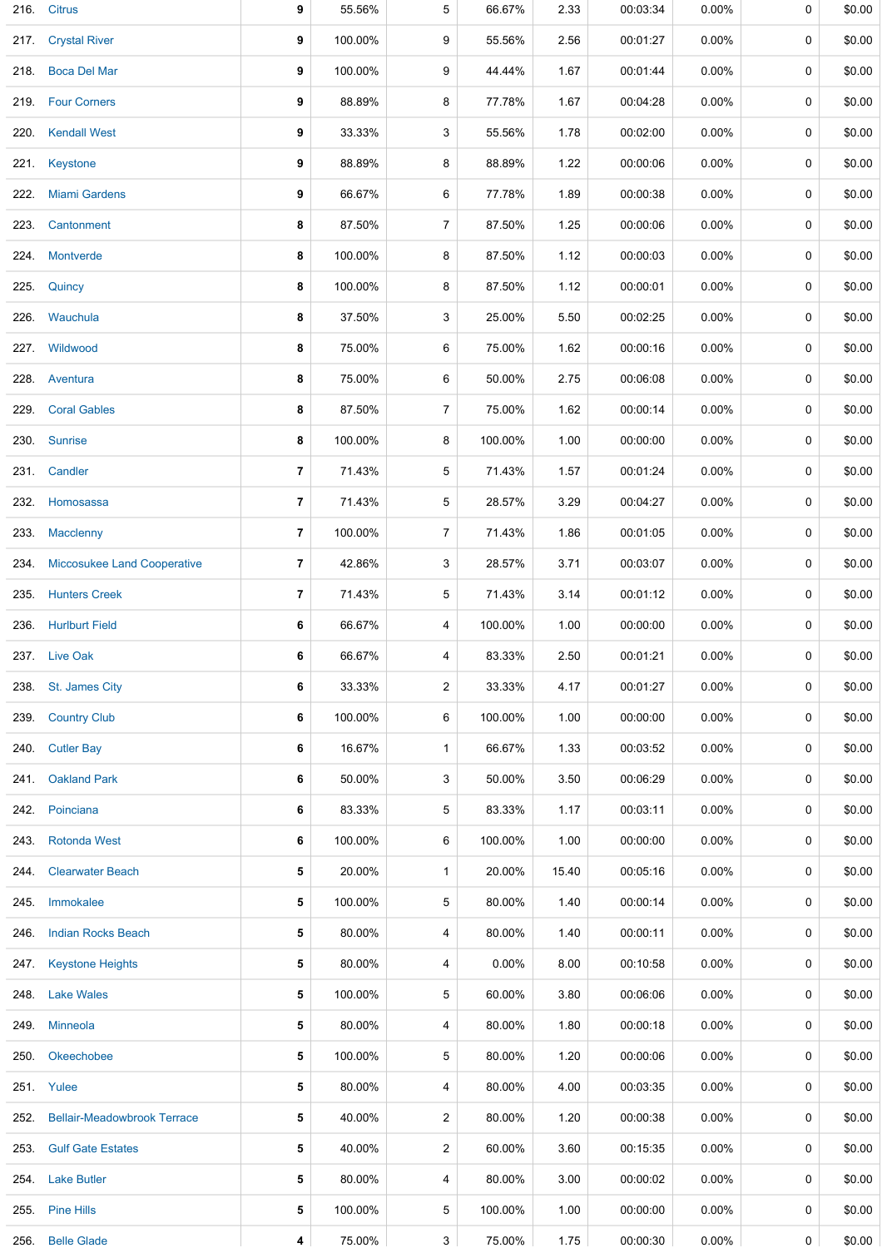| 216. | <b>Citrus</b>                      | 9              | 55.56%  | 5              | 66.67%   | 2.33  | 00:03:34 | 0.00%    | 0 | \$0.00 |
|------|------------------------------------|----------------|---------|----------------|----------|-------|----------|----------|---|--------|
| 217. | <b>Crystal River</b>               | 9              | 100.00% | 9              | 55.56%   | 2.56  | 00:01:27 | $0.00\%$ | 0 | \$0.00 |
|      | 218. Boca Del Mar                  | 9              | 100.00% | 9              | 44.44%   | 1.67  | 00:01:44 | $0.00\%$ | 0 | \$0.00 |
|      | 219. Four Corners                  | 9              | 88.89%  | 8              | 77.78%   | 1.67  | 00:04:28 | $0.00\%$ | 0 | \$0.00 |
|      | 220. Kendall West                  | 9              | 33.33%  | 3              | 55.56%   | 1.78  | 00:02:00 | $0.00\%$ | 0 | \$0.00 |
|      | 221. Keystone                      | 9              | 88.89%  | 8              | 88.89%   | 1.22  | 00:00:06 | $0.00\%$ | 0 | \$0.00 |
|      | 222. Miami Gardens                 | 9              | 66.67%  | 6              | 77.78%   | 1.89  | 00:00:38 | $0.00\%$ | 0 | \$0.00 |
| 223. | Cantonment                         | 8              | 87.50%  | $\overline{7}$ | 87.50%   | 1.25  | 00:00:06 | $0.00\%$ | 0 | \$0.00 |
| 224. | <b>Montverde</b>                   | 8              | 100.00% | 8              | 87.50%   | 1.12  | 00:00:03 | $0.00\%$ | 0 | \$0.00 |
| 225. | Quincy                             | 8              | 100.00% | 8              | 87.50%   | 1.12  | 00:00:01 | $0.00\%$ | 0 | \$0.00 |
|      | 226. Wauchula                      | 8              | 37.50%  | 3              | 25.00%   | 5.50  | 00:02:25 | $0.00\%$ | 0 | \$0.00 |
| 227. | Wildwood                           | 8              | 75.00%  | 6              | 75.00%   | 1.62  | 00:00:16 | $0.00\%$ | 0 | \$0.00 |
|      | 228. Aventura                      | 8              | 75.00%  | 6              | 50.00%   | 2.75  | 00:06:08 | $0.00\%$ | 0 | \$0.00 |
| 229. | <b>Coral Gables</b>                | 8              | 87.50%  | 7              | 75.00%   | 1.62  | 00:00:14 | $0.00\%$ | 0 | \$0.00 |
|      | 230. Sunrise                       | 8              | 100.00% | 8              | 100.00%  | 1.00  | 00:00:00 | 0.00%    | 0 | \$0.00 |
|      | 231. Candler                       | 7              | 71.43%  | 5              | 71.43%   | 1.57  | 00:01:24 | $0.00\%$ | 0 | \$0.00 |
| 232. | Homosassa                          | $\overline{7}$ | 71.43%  | 5              | 28.57%   | 3.29  | 00:04:27 | $0.00\%$ | 0 | \$0.00 |
| 233. | Macclenny                          | 7              | 100.00% | 7              | 71.43%   | 1.86  | 00:01:05 | $0.00\%$ | 0 | \$0.00 |
| 234. | <b>Miccosukee Land Cooperative</b> | 7              | 42.86%  | 3              | 28.57%   | 3.71  | 00:03:07 | $0.00\%$ | 0 | \$0.00 |
|      | 235. Hunters Creek                 | 7              | 71.43%  | 5              | 71.43%   | 3.14  | 00:01:12 | $0.00\%$ | 0 | \$0.00 |
| 236. | <b>Hurlburt Field</b>              | 6              | 66.67%  | 4              | 100.00%  | 1.00  | 00:00:00 | $0.00\%$ | 0 | \$0.00 |
|      | 237. Live Oak                      | 6              | 66.67%  | 4              | 83.33%   | 2.50  | 00:01:21 | $0.00\%$ | 0 | \$0.00 |
|      | 238. St. James City                | 6              | 33.33%  | $\overline{2}$ | 33.33%   | 4.17  | 00:01:27 | $0.00\%$ | 0 | \$0.00 |
| 239. | <b>Country Club</b>                | 6              | 100.00% | 6              | 100.00%  | 1.00  | 00:00:00 | $0.00\%$ | 0 | \$0.00 |
| 240. | <b>Cutler Bay</b>                  | 6              | 16.67%  | $\mathbf{1}$   | 66.67%   | 1.33  | 00:03:52 | $0.00\%$ | 0 | \$0.00 |
| 241. | <b>Oakland Park</b>                | 6              | 50.00%  | 3              | 50.00%   | 3.50  | 00:06:29 | $0.00\%$ | 0 | \$0.00 |
| 242. | Poinciana                          | 6              | 83.33%  | 5              | 83.33%   | 1.17  | 00:03:11 | $0.00\%$ | 0 | \$0.00 |
| 243. | <b>Rotonda West</b>                | 6              | 100.00% | 6              | 100.00%  | 1.00  | 00:00:00 | $0.00\%$ | 0 | \$0.00 |
| 244. | <b>Clearwater Beach</b>            | 5              | 20.00%  | $\mathbf{1}$   | 20.00%   | 15.40 | 00:05:16 | $0.00\%$ | 0 | \$0.00 |
| 245. | Immokalee                          | 5              | 100.00% | 5              | 80.00%   | 1.40  | 00:00:14 | $0.00\%$ | 0 | \$0.00 |
| 246. | <b>Indian Rocks Beach</b>          | 5              | 80.00%  | 4              | 80.00%   | 1.40  | 00:00:11 | 0.00%    | 0 | \$0.00 |
| 247. | <b>Keystone Heights</b>            | 5              | 80.00%  | 4              | $0.00\%$ | 8.00  | 00:10:58 | $0.00\%$ | 0 | \$0.00 |
|      | 248. Lake Wales                    | 5              | 100.00% | 5              | 60.00%   | 3.80  | 00:06:06 | $0.00\%$ | 0 | \$0.00 |
| 249. | Minneola                           | 5              | 80.00%  | 4              | 80.00%   | 1.80  | 00:00:18 | $0.00\%$ | 0 | \$0.00 |
| 250. | Okeechobee                         | 5              | 100.00% | 5              | 80.00%   | 1.20  | 00:00:06 | $0.00\%$ | 0 | \$0.00 |
|      | 251. Yulee                         | 5              | 80.00%  | 4              | 80.00%   | 4.00  | 00:03:35 | $0.00\%$ | 0 | \$0.00 |
| 252. | <b>Bellair-Meadowbrook Terrace</b> | 5              | 40.00%  | 2              | 80.00%   | 1.20  | 00:00:38 | $0.00\%$ | 0 | \$0.00 |
| 253. | <b>Gulf Gate Estates</b>           | 5              | 40.00%  | $\overline{2}$ | 60.00%   | 3.60  | 00:15:35 | $0.00\%$ | 0 | \$0.00 |
|      | 254. Lake Butler                   | 5              | 80.00%  | 4              | 80.00%   | 3.00  | 00:00:02 | 0.00%    | 0 | \$0.00 |
| 255. | <b>Pine Hills</b>                  | 5              | 100.00% | 5              | 100.00%  | 1.00  | 00:00:00 | $0.00\%$ | 0 | \$0.00 |
| 256. | <b>Belle Glade</b>                 | 4              | 75.00%  | 3              | 75.00%   | 1.75  | 00:00:30 | $0.00\%$ | 0 | \$0.00 |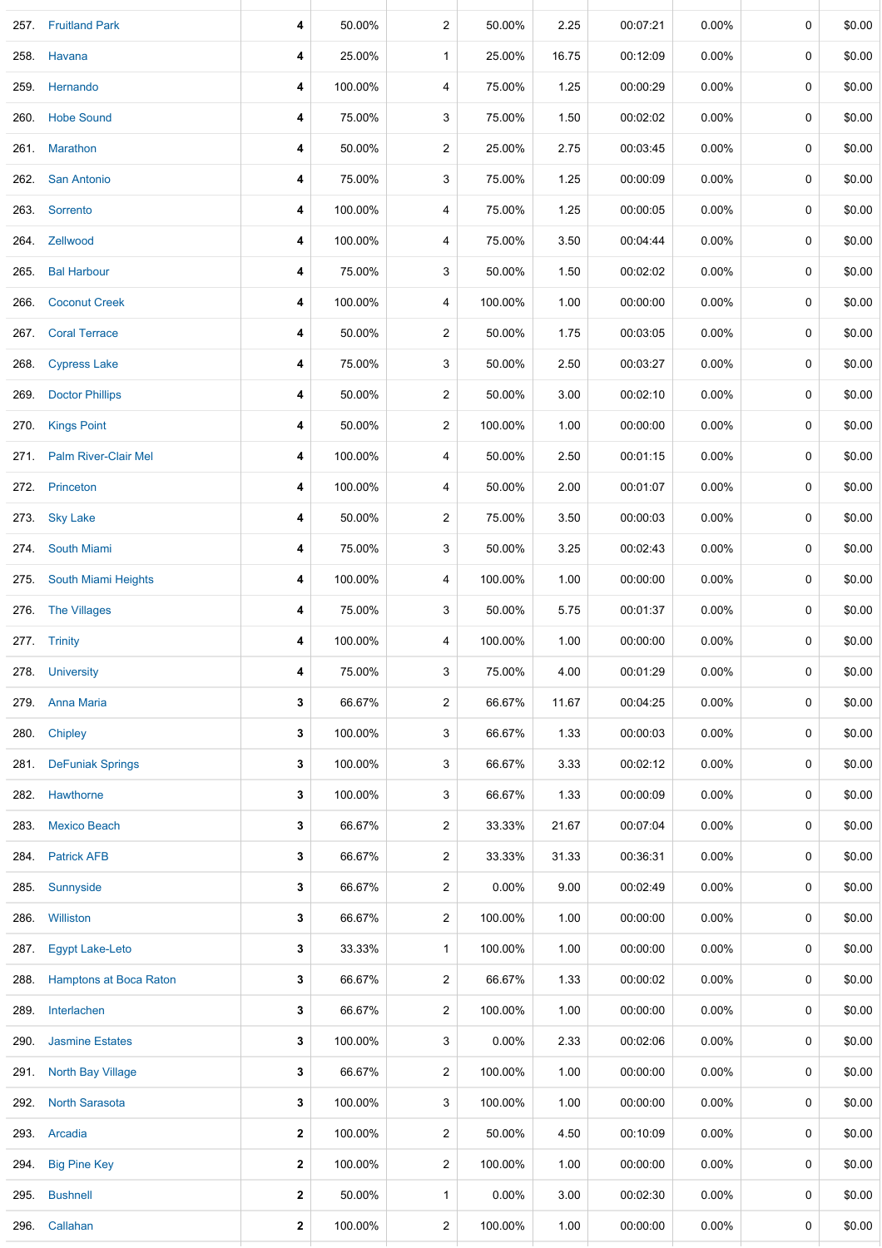|      | 257. Fruitland Park         | 4            | 50.00%  | 2                       | 50.00%   | 2.25  | 00:07:21 | 0.00%    | 0 | \$0.00 |
|------|-----------------------------|--------------|---------|-------------------------|----------|-------|----------|----------|---|--------|
|      | 258. Havana                 | 4            | 25.00%  | $\mathbf{1}$            | 25.00%   | 16.75 | 00:12:09 | $0.00\%$ | 0 | \$0.00 |
| 259. | Hernando                    | 4            | 100.00% | 4                       | 75.00%   | 1.25  | 00:00:29 | 0.00%    | 0 | \$0.00 |
|      | 260. Hobe Sound             | 4            | 75.00%  | 3                       | 75.00%   | 1.50  | 00:02:02 | 0.00%    | 0 | \$0.00 |
|      | 261. Marathon               | 4            | 50.00%  | 2                       | 25.00%   | 2.75  | 00:03:45 | 0.00%    | 0 | \$0.00 |
|      | 262. San Antonio            | 4            | 75.00%  | 3                       | 75.00%   | 1.25  | 00:00:09 | 0.00%    | 0 | \$0.00 |
|      | 263. Sorrento               | 4            | 100.00% | 4                       | 75.00%   | 1.25  | 00:00:05 | 0.00%    | 0 | \$0.00 |
|      | 264. Zellwood               | 4            | 100.00% | 4                       | 75.00%   | 3.50  | 00:04:44 | 0.00%    | 0 | \$0.00 |
|      | 265. Bal Harbour            | 4            | 75.00%  | 3                       | 50.00%   | 1.50  | 00:02:02 | 0.00%    | 0 | \$0.00 |
| 266. | <b>Coconut Creek</b>        | 4            | 100.00% | 4                       | 100.00%  | 1.00  | 00:00:00 | 0.00%    | 0 | \$0.00 |
|      | 267. Coral Terrace          | 4            | 50.00%  | 2                       | 50.00%   | 1.75  | 00:03:05 | 0.00%    | 0 | \$0.00 |
| 268. | <b>Cypress Lake</b>         | 4            | 75.00%  | 3                       | 50.00%   | 2.50  | 00:03:27 | 0.00%    | 0 | \$0.00 |
| 269. | <b>Doctor Phillips</b>      | 4            | 50.00%  | 2                       | 50.00%   | 3.00  | 00:02:10 | $0.00\%$ | 0 | \$0.00 |
| 270. | <b>Kings Point</b>          | 4            | 50.00%  | 2                       | 100.00%  | 1.00  | 00:00:00 | 0.00%    | 0 | \$0.00 |
|      | 271. Palm River-Clair Mel   | 4            | 100.00% | 4                       | 50.00%   | 2.50  | 00:01:15 | $0.00\%$ | 0 | \$0.00 |
| 272. | Princeton                   | 4            | 100.00% | 4                       | 50.00%   | 2.00  | 00:01:07 | 0.00%    | 0 | \$0.00 |
|      | 273. Sky Lake               | 4            | 50.00%  | 2                       | 75.00%   | 3.50  | 00:00:03 | 0.00%    | 0 | \$0.00 |
|      | 274. South Miami            | 4            | 75.00%  | 3                       | 50.00%   | 3.25  | 00:02:43 | 0.00%    | 0 | \$0.00 |
|      | 275. South Miami Heights    | 4            | 100.00% | 4                       | 100.00%  | 1.00  | 00:00:00 | 0.00%    | 0 | \$0.00 |
|      | 276. The Villages           | 4            | 75.00%  | 3                       | 50.00%   | 5.75  | 00:01:37 | 0.00%    | 0 | \$0.00 |
|      | 277. Trinity                | 4            | 100.00% | 4                       | 100.00%  | 1.00  | 00:00:00 | 0.00%    | 0 | \$0.00 |
|      | 278. University             | 4            | 75.00%  | 3                       | 75.00%   | 4.00  | 00:01:29 | $0.00\%$ | 0 | \$0.00 |
|      | 279. Anna Maria             | 3            | 66.67%  | $\overline{c}$          | 66.67%   | 11.67 | 00:04:25 | 0.00%    | 0 | \$0.00 |
|      | 280. Chipley                | 3            | 100.00% | 3                       | 66.67%   | 1.33  | 00:00:03 | 0.00%    | 0 | \$0.00 |
|      | 281. DeFuniak Springs       | 3            | 100.00% | 3                       | 66.67%   | 3.33  | 00:02:12 | 0.00%    | 0 | \$0.00 |
|      | 282. Hawthorne              | 3            | 100.00% | 3                       | 66.67%   | 1.33  | 00:00:09 | 0.00%    | 0 | \$0.00 |
| 283. | <b>Mexico Beach</b>         | 3            | 66.67%  | 2                       | 33.33%   | 21.67 | 00:07:04 | $0.00\%$ | 0 | \$0.00 |
|      | 284. Patrick AFB            | 3            | 66.67%  | 2                       | 33.33%   | 31.33 | 00:36:31 | $0.00\%$ | 0 | \$0.00 |
| 285. | Sunnyside                   | 3            | 66.67%  | 2                       | 0.00%    | 9.00  | 00:02:49 | 0.00%    | 0 | \$0.00 |
| 286. | Williston                   | 3            | 66.67%  | 2                       | 100.00%  | 1.00  | 00:00:00 | 0.00%    | 0 | \$0.00 |
| 287. | <b>Egypt Lake-Leto</b>      | 3            | 33.33%  | $\mathbf{1}$            | 100.00%  | 1.00  | 00:00:00 | 0.00%    | 0 | \$0.00 |
|      | 288. Hamptons at Boca Raton | 3            | 66.67%  | 2                       | 66.67%   | 1.33  | 00:00:02 | 0.00%    | 0 | \$0.00 |
| 289. | Interlachen                 | 3            | 66.67%  | 2                       | 100.00%  | 1.00  | 00:00:00 | 0.00%    | 0 | \$0.00 |
| 290. | <b>Jasmine Estates</b>      | 3            | 100.00% | 3                       | 0.00%    | 2.33  | 00:02:06 | 0.00%    | 0 | \$0.00 |
| 291. | <b>North Bay Village</b>    | 3            | 66.67%  | 2                       | 100.00%  | 1.00  | 00:00:00 | 0.00%    | 0 | \$0.00 |
|      | 292. North Sarasota         | 3            | 100.00% | 3                       | 100.00%  | 1.00  | 00:00:00 | 0.00%    | 0 | \$0.00 |
|      | 293. Arcadia                | 2            | 100.00% | 2                       | 50.00%   | 4.50  | 00:10:09 | 0.00%    | 0 | \$0.00 |
| 294. | <b>Big Pine Key</b>         | $\mathbf{2}$ | 100.00% | $\overline{\mathbf{c}}$ | 100.00%  | 1.00  | 00:00:00 | 0.00%    | 0 | \$0.00 |
| 295. | <b>Bushnell</b>             | 2            | 50.00%  | $\mathbf{1}$            | $0.00\%$ | 3.00  | 00:02:30 | $0.00\%$ | 0 | \$0.00 |
| 296. | Callahan                    | $\mathbf{2}$ | 100.00% | 2                       | 100.00%  | 1.00  | 00:00:00 | 0.00%    | 0 | \$0.00 |

256. Belle Glade **4** 75.00% 3 75.00% 1.75 00:00:30 0.00% 0 \$0.00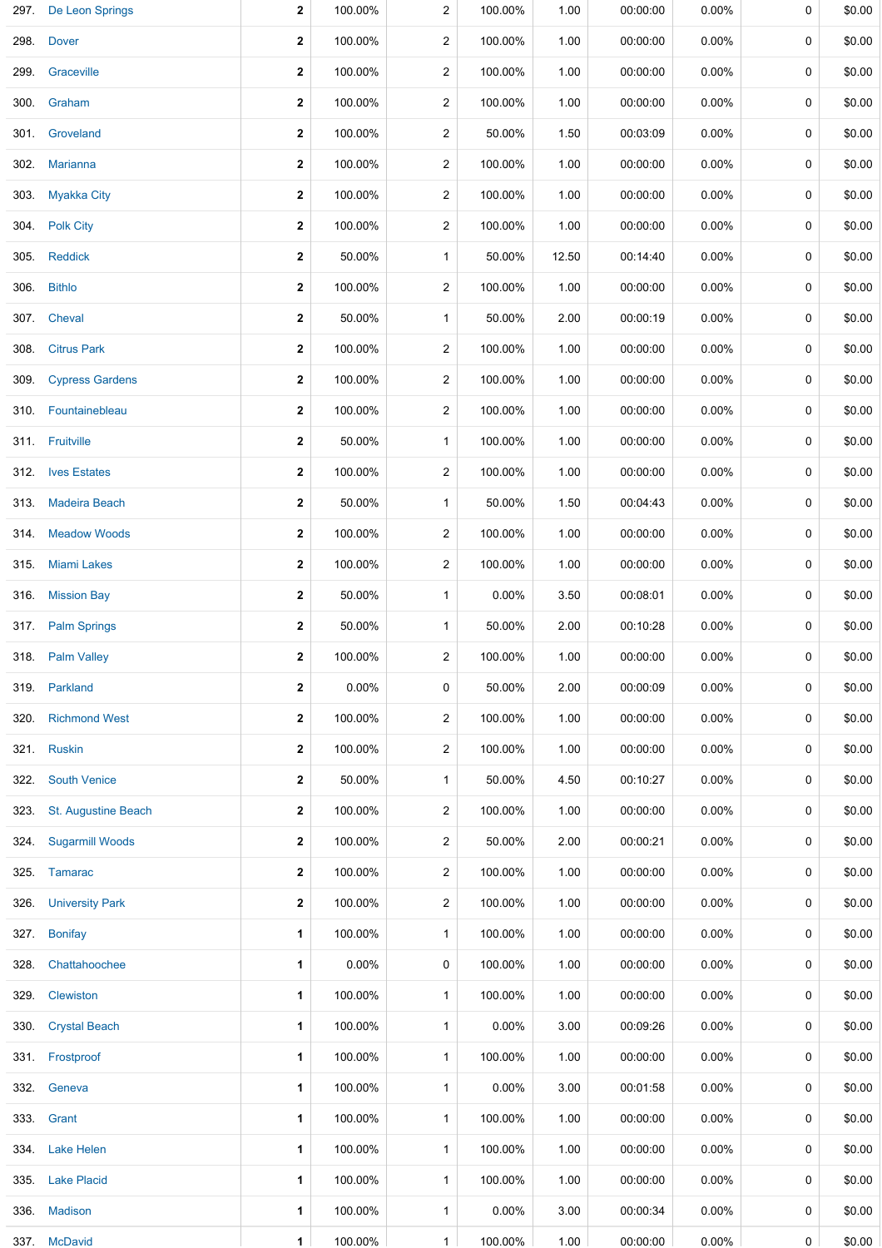| 297. | De Leon Springs        | $\mathbf{2}$ | 100.00%  | 2                       | 100.00%  | 1.00  | 00:00:00 | 0.00%    | 0           | \$0.00 |
|------|------------------------|--------------|----------|-------------------------|----------|-------|----------|----------|-------------|--------|
|      | 298. Dover             | $\mathbf{2}$ | 100.00%  | $\overline{2}$          | 100.00%  | 1.00  | 00:00:00 | $0.00\%$ | 0           | \$0.00 |
|      | 299. Graceville        | $\mathbf{2}$ | 100.00%  | $\overline{2}$          | 100.00%  | 1.00  | 00:00:00 | $0.00\%$ | 0           | \$0.00 |
|      | 300. Graham            | $\mathbf{2}$ | 100.00%  | 2                       | 100.00%  | 1.00  | 00:00:00 | $0.00\%$ | 0           | \$0.00 |
|      | 301. Groveland         | 2            | 100.00%  | 2                       | 50.00%   | 1.50  | 00:03:09 | $0.00\%$ | 0           | \$0.00 |
|      | 302. Marianna          | $\mathbf{2}$ | 100.00%  | $\overline{2}$          | 100.00%  | 1.00  | 00:00:00 | $0.00\%$ | 0           | \$0.00 |
|      | 303 Myakka City        | 2            | 100.00%  | 2                       | 100.00%  | 1.00  | 00:00:00 | $0.00\%$ | 0           | \$0.00 |
|      | 304. Polk City         | $\mathbf{2}$ | 100.00%  | $\overline{2}$          | 100.00%  | 1.00  | 00:00:00 | $0.00\%$ | 0           | \$0.00 |
| 305. | <b>Reddick</b>         | $\mathbf{2}$ | 50.00%   | $\mathbf{1}$            | 50.00%   | 12.50 | 00:14:40 | $0.00\%$ | 0           | \$0.00 |
| 306. | <b>Bithlo</b>          | $\mathbf{2}$ | 100.00%  | 2                       | 100.00%  | 1.00  | 00:00:00 | $0.00\%$ | 0           | \$0.00 |
|      | 307. Cheval            | $\mathbf{2}$ | 50.00%   | $\mathbf{1}$            | 50.00%   | 2.00  | 00:00:19 | $0.00\%$ | 0           | \$0.00 |
| 308. | <b>Citrus Park</b>     | $\mathbf{2}$ | 100.00%  | 2                       | 100.00%  | 1.00  | 00:00:00 | $0.00\%$ | $\mathbf 0$ | \$0.00 |
| 309. | <b>Cypress Gardens</b> | 2            | 100.00%  | 2                       | 100.00%  | 1.00  | 00:00:00 | $0.00\%$ | 0           | \$0.00 |
| 310. | Fountainebleau         | $\mathbf{2}$ | 100.00%  | 2                       | 100.00%  | 1.00  | 00:00:00 | $0.00\%$ | 0           | \$0.00 |
|      | 311. Fruitville        | $\mathbf{2}$ | 50.00%   | $\mathbf{1}$            | 100.00%  | 1.00  | 00:00:00 | $0.00\%$ | 0           | \$0.00 |
|      | 312. Ives Estates      | $\mathbf{2}$ | 100.00%  | 2                       | 100.00%  | 1.00  | 00:00:00 | $0.00\%$ | 0           | \$0.00 |
| 313. | <b>Madeira Beach</b>   | $\mathbf{2}$ | 50.00%   | $\mathbf{1}$            | 50.00%   | 1.50  | 00:04:43 | $0.00\%$ | 0           | \$0.00 |
|      | 314. Meadow Woods      | $\mathbf{2}$ | 100.00%  | 2                       | 100.00%  | 1.00  | 00:00:00 | $0.00\%$ | 0           | \$0.00 |
|      | 315. Miami Lakes       | $\mathbf{2}$ | 100.00%  | 2                       | 100.00%  | 1.00  | 00:00:00 | $0.00\%$ | 0           | \$0.00 |
| 316. | <b>Mission Bay</b>     | $\mathbf{2}$ | 50.00%   | $\mathbf{1}$            | $0.00\%$ | 3.50  | 00:08:01 | $0.00\%$ | 0           | \$0.00 |
| 317. | <b>Palm Springs</b>    | $\mathbf{2}$ | 50.00%   | $\mathbf{1}$            | 50.00%   | 2.00  | 00:10:28 | $0.00\%$ | 0           | \$0.00 |
|      | 318 Palm Valley        | $\mathbf{2}$ | 100.00%  | 2                       | 100.00%  | 1.00  | 00:00:00 | $0.00\%$ | 0           | \$0.00 |
|      | 319. Parkland          | $\mathbf{2}$ | 0.00%    | 0                       | 50.00%   | 2.00  | 00:00:09 | $0.00\%$ | 0           | \$0.00 |
| 320. | <b>Richmond West</b>   | 2            | 100.00%  | 2                       | 100.00%  | 1.00  | 00:00:00 | $0.00\%$ | 0           | \$0.00 |
| 321. | <b>Ruskin</b>          | 2            | 100.00%  | 2                       | 100.00%  | 1.00  | 00:00:00 | $0.00\%$ | 0           | \$0.00 |
| 322. | <b>South Venice</b>    | $\mathbf{2}$ | 50.00%   | $\mathbf{1}$            | 50.00%   | 4.50  | 00:10:27 | $0.00\%$ | 0           | \$0.00 |
| 323. | St. Augustine Beach    | 2            | 100.00%  | $\overline{\mathbf{c}}$ | 100.00%  | 1.00  | 00:00:00 | $0.00\%$ | 0           | \$0.00 |
|      | 324. Sugarmill Woods   | $\mathbf{2}$ | 100.00%  | 2                       | 50.00%   | 2.00  | 00:00:21 | $0.00\%$ | 0           | \$0.00 |
|      | 325. Tamarac           | 2            | 100.00%  | 2                       | 100.00%  | 1.00  | 00:00:00 | $0.00\%$ | 0           | \$0.00 |
| 326. | <b>University Park</b> | $\mathbf{2}$ | 100.00%  | 2                       | 100.00%  | 1.00  | 00:00:00 | $0.00\%$ | 0           | \$0.00 |
|      | 327. Bonifay           | 1            | 100.00%  | $\mathbf{1}$            | 100.00%  | 1.00  | 00:00:00 | $0.00\%$ | 0           | \$0.00 |
| 328. | Chattahoochee          | 1            | $0.00\%$ | 0                       | 100.00%  | 1.00  | 00:00:00 | $0.00\%$ | 0           | \$0.00 |
|      | 329. Clewiston         | 1            | 100.00%  | $\mathbf{1}$            | 100.00%  | 1.00  | 00:00:00 | $0.00\%$ | 0           | \$0.00 |
| 330. | <b>Crystal Beach</b>   | 1            | 100.00%  | $\mathbf{1}$            | $0.00\%$ | 3.00  | 00:09:26 | $0.00\%$ | 0           | \$0.00 |
|      | 331. Frostproof        | 1            | 100.00%  | $\mathbf{1}$            | 100.00%  | 1.00  | 00:00:00 | 0.00%    | 0           | \$0.00 |
| 332. | Geneva                 | 1            | 100.00%  | $\mathbf{1}$            | $0.00\%$ | 3.00  | 00:01:58 | $0.00\%$ | 0           | \$0.00 |
|      | 333. Grant             | 1            | 100.00%  | $\mathbf{1}$            | 100.00%  | 1.00  | 00:00:00 | $0.00\%$ | 0           | \$0.00 |
|      | 334. Lake Helen        | 1            | 100.00%  | $\mathbf{1}$            | 100.00%  | 1.00  | 00:00:00 | $0.00\%$ | 0           | \$0.00 |
|      | 335. Lake Placid       | 1            | 100.00%  | $\mathbf{1}$            | 100.00%  | 1.00  | 00:00:00 | $0.00\%$ | 0           | \$0.00 |
|      | 336. Madison           | 1            | 100.00%  | $\mathbf{1}$            | $0.00\%$ | 3.00  | 00:00:34 | $0.00\%$ | 0           | \$0.00 |
|      | 337. McDavid           | $\mathbf{1}$ | 100.00%  | $\mathbf{1}$            | 100.00%  | 1.00  | 00:00:00 | $0.00\%$ | 0           | \$0.00 |